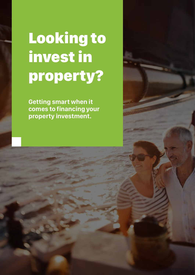## Looking to invest in property?

**Getting smart when it comes to financing your property investment.**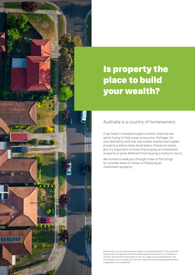### Is property the place to build your wealth?

Australia is a country of homeowners.

If we haven't already bought a home, chances are we're trying to find a way to buy one. Perhaps, it's this familiarity with the real estate market that makes property a place many Australians choose to invest. But it's important to know that buying an investment property is quite different from buying a home to live in.

We're here to walk you through a few of the things to consider when it comes to financing an investment property.

Please note, we do not provide tax, legal or accounting advice. This guide has been written for general informational purposes only, and is not intended to provide, and should not be relied on for, tax, legal or accounting advice. We encourage you to consult your own tax, legal and accounting advisers before engaging in any transaction.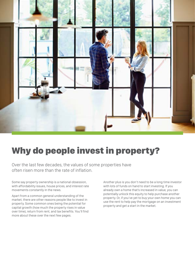

## Why do people invest in property?

Over the last few decades, the values of some properties have often risen more than the rate of inflation.

Some say property ownership is a national obsession, with affordability issues, house prices, and interest rate movements constantly in the news.

Apart from a common general understanding of the market, there are other reasons people like to invest in property. Some common ones being the potential for capital growth (how much the property rises in value over time), return from rent, and tax benefits. You'll find more about these over the next few pages.

Another plus is you don't need to be a long time investor with lots of funds on hand to start investing. If you already own a home that's increased in value, you can potentially unlock this equity to help purchase another property. Or, if you've yet to buy your own home you can use the rent to help pay the mortgage on an investment property and get a start in the market.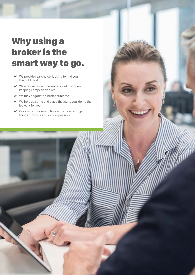## Why using a broker is the smart way to go.

- ◆ We provide real choice, looking to find you the right deal.
- $\blacktriangleright$  We work with multiple lenders, not just one  $$ keeping competition alive.
- ◆ We may negotiate a better outcome.
- $\blacktriangleright$  We help at a time and place that suits you, doing the legwork for you.
- Our aim is to save you time and stress, and get things moving as quickly as possible.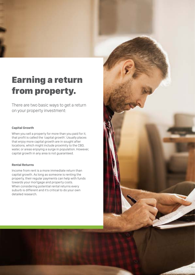## Earning a return from property.

There are two basic ways to get a return on your property investment:

#### **Capital Growth**

When you sell a property for more than you paid for it, that profit is called the 'capital growth'. Usually places that enjoy more capital growth are in sought after locations, which might include proximity to the CBD, water, or areas enjoying a surge in population. However, capital growth in any area is not guaranteed.

#### **Rental Returns**

Income from rent is a more immediate return than capital growth. As long as someone is renting the property, their regular payments can help with funds towards your mortgage and property costs. When considering potential rental returns every suburb is different and it's critical to do your own detailed research.

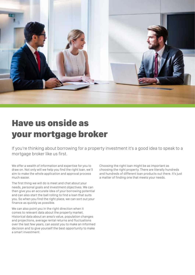

### Have us onside as your mortgage broker

If you're thinking about borrowing for a property investment it's a good idea to speak to a mortgage broker like us first.

We offer a wealth of information and expertise for you to draw on. Not only will we help you find the right loan, we'll aim to make the whole application and approval process much easier.

The first thing we will do is meet and chat about your needs, personal goals and investment objectives. We can then give you an accurate idea of your borrowing potential and can also start the ball rolling to find a loan that suits you. So when you find the right place, we can sort out your finance as quickly as possible.

We can also point you in the right direction when it comes to relevant data about the property market. Historical data about an area's value, population changes and projections, average rental returns and fluctuations over the last few years, can assist you to make an informed decision and to give yourself the best opportunity to make a smart investment.

Choosing the right loan might be as important as choosing the right property. There are literally hundreds and hundreds of different loan products out there. It's just a matter of finding one that meets your needs.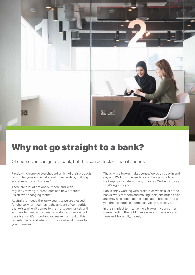

#### Why not go straight to a bank?

Of course you can go to a bank, but this can be trickier than it sounds.

Firstly, which one do you choose? Which of their products is right for you? And what about other lenders, building societies and credit unions?

There are a lot of options out there and, with regularly moving interest rates and new products, it's an ever-changing market.

Australia is indeed the lucky country. We are blessed for choice when it comes to the amount of competition that exists when it comes to the mortgage market. With so many lenders, and so many products under each of their brands, it's important you make the most of this regarding who and what you choose when it comes to your home loan.

That's why a broker makes sense. We do this day in and day out. We know the lenders and their products, and we keep up-to-date with any changes. We help choose what's right for you.

Banks enjoy working with brokers, as we do a lot of the banks' work for them and making their jobs much easier and may help speed up the application process and get you the top-notch customer service you deserve.

In the simplest terms, having a broker in your corner makes finding the right loan easier and can save you time and, hopefully, money.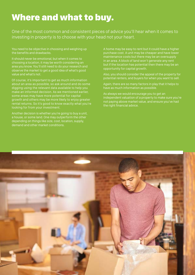#### Where and what to buy.

One of the most common and consistent pieces of advice you'll hear when it comes to investing in property is to choose with your head not your heart.

You need to be objective in choosing and weighing up the benefits and drawbacks.

It should never be emotional, but when it comes to choosing a location, it may be worth considering an area you know. You'll still need to do your research and observe the market to get a good idea of what's good value and what's not.

Of course, it's important to get as much information about an area as possible, so ask around and do some digging using the relevant data available to help you make an informed decision. As we mentioned earlier, some areas may have more potential for capital growth and others may be more likely to enjoy greater rental returns. So it's good to know exactly what you're looking for from your investment.

Another decision is whether you're going to buy a unit, a house, or some land. One may outperform the other depending on things like size, cost, location, supply, demand and other market conditions.

A home may be easy to rent but it could have a higher purchase cost. A unit may be cheaper and have lower maintenance costs but there may be an oversupply in an area. A block of land won't generate any rent but if the location has potential then there may be an opportunity for capital growth.

Also, you should consider the appeal of the property for potential renters, and buyers for when you want to sell.

Again, there are so many factors in play that it helps to have as much information as possible.

As always we would encourage you to get an independent valuation of a property to make sure you're not paying above market value, and ensure you've had the right financial advice.

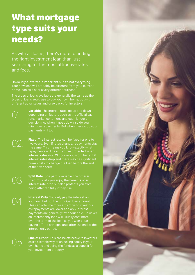### What mortgage type suits your needs?

As with all loans, there's more to finding the right investment loan than just searching for the most attractive rates and fees.

Obviously a low rate is important but it's not everything. Your new loan will probably be different from your current home loan as it's for a very different purpose.

The types of loans available are generally the same as the types of loans you'd use to buy your own home, but with different advantages and drawbacks for investors.

02.

**Variable**. The interest rates go up and down depending on factors such as the official cash rate, market conditions and each lender's decisioning. When it goes down, so do your minimum repayments. But when they go up your payments will too.

**Fixed**. The interest rate can be fixed for one to five years. Even if rates change, repayments stay the same. This means you know exactly what repayments will be and you're protected when interest rates rise. Of course you wont benefit if interest rates drop and there may be significant break costs to change the loan before the end of the fixed term.

04.

**Split Rate**. One part is variable, the other is fixed. This lets you enjoy the benefits of an interest rate drop but also protects you from being affected fully if they rise.

**Interest Only**. You only pay the interest on your loan but not the principal loan amount. This can often be more attractive to investors as repayments are lower and only interest payments are generally tax deductible. However an interest only loan will usually cost more over the term of the loan as you won't start paying off the principal until after the end of the interest only period.



**Line of Credit**. This can be attractive to investors as it's a simple way of unlocking equity in your own home and using the funds as a deposit for your investment property.

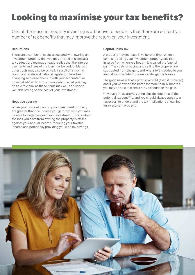## Looking to maximise your tax benefits?

One of the reasons property investing is attractive to people is that there are currently a number of tax benefits that may improve the return on your investment.

#### **Deductions**

There are a number of costs associated with owning an investment property that you may be able to claim as a tax deduction. You may already realise that the interest payments and fees of the loan may be deductible, but other costs may also be as well. It's a bit of a moving feast given state and national legislation have been changing so please check in with your accountant or financial adviser to find out more about what you may be able to claim, as these items may well add up to a valuable saving on the cost of your investment.

#### **Negative gearing**

When your costs of owning your investment property are greater than the income you get from rent, you may be able to 'negative gear' your investment. This is when the loss you have from owning the property is offset against your annual income, reducing your taxable income and potentially providing you with tax savings.

#### **Capital Gains Tax**

A property may increase in value over time. When it comes to selling your investment property, any rise in value from when you bought it is called the 'capital gain'. The costs of buying and selling the property are subtracted from the gain, and what's left is added to your annual income. Which means capital gain is taxable.

The good news is that a profit is a profit (even if it's taxed) and if you've owned the home for more than 12 months you may be able to claim a 50% discount on the gain.

Obviously these are very simplistic descriptions of the potential tax benefits, and you should always speak to a tax expert to understand the tax implications of owning an investment property.